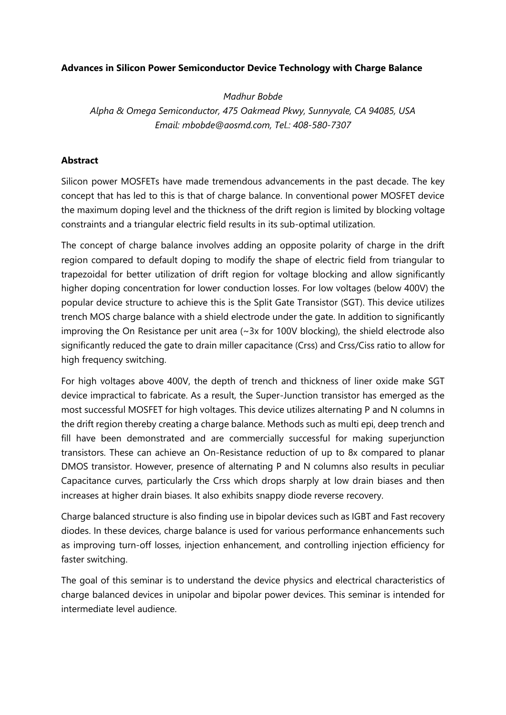## **Advances in Silicon Power Semiconductor Device Technology with Charge Balance**

*Madhur Bobde Alpha & Omega Semiconductor, 475 Oakmead Pkwy, Sunnyvale, CA 94085, USA Email: mbobde@aosmd.com, Tel.: 408-580-7307*

## **Abstract**

Silicon power MOSFETs have made tremendous advancements in the past decade. The key concept that has led to this is that of charge balance. In conventional power MOSFET device the maximum doping level and the thickness of the drift region is limited by blocking voltage constraints and a triangular electric field results in its sub-optimal utilization.

The concept of charge balance involves adding an opposite polarity of charge in the drift region compared to default doping to modify the shape of electric field from triangular to trapezoidal for better utilization of drift region for voltage blocking and allow significantly higher doping concentration for lower conduction losses. For low voltages (below 400V) the popular device structure to achieve this is the Split Gate Transistor (SGT). This device utilizes trench MOS charge balance with a shield electrode under the gate. In addition to significantly improving the On Resistance per unit area  $\sim$  3x for 100V blocking), the shield electrode also significantly reduced the gate to drain miller capacitance (Crss) and Crss/Ciss ratio to allow for high frequency switching.

For high voltages above 400V, the depth of trench and thickness of liner oxide make SGT device impractical to fabricate. As a result, the Super-Junction transistor has emerged as the most successful MOSFET for high voltages. This device utilizes alternating P and N columns in the drift region thereby creating a charge balance. Methods such as multi epi, deep trench and fill have been demonstrated and are commercially successful for making superjunction transistors. These can achieve an On-Resistance reduction of up to 8x compared to planar DMOS transistor. However, presence of alternating P and N columns also results in peculiar Capacitance curves, particularly the Crss which drops sharply at low drain biases and then increases at higher drain biases. It also exhibits snappy diode reverse recovery.

Charge balanced structure is also finding use in bipolar devices such as IGBT and Fast recovery diodes. In these devices, charge balance is used for various performance enhancements such as improving turn-off losses, injection enhancement, and controlling injection efficiency for faster switching.

The goal of this seminar is to understand the device physics and electrical characteristics of charge balanced devices in unipolar and bipolar power devices. This seminar is intended for intermediate level audience.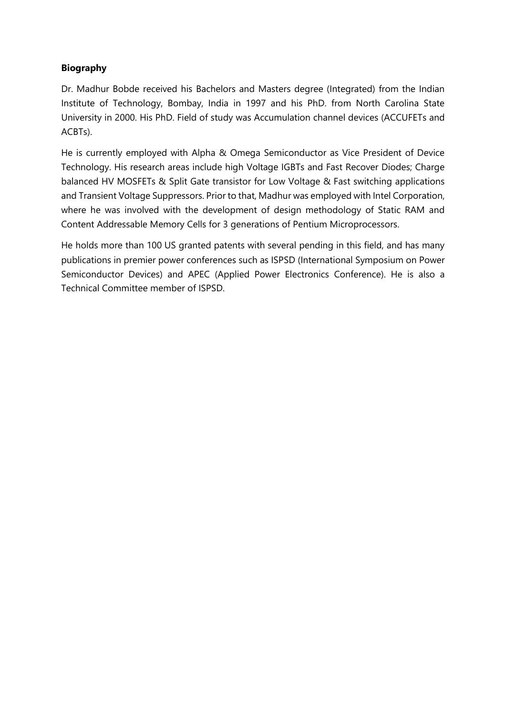## **Biography**

Dr. Madhur Bobde received his Bachelors and Masters degree (Integrated) from the Indian Institute of Technology, Bombay, India in 1997 and his PhD. from North Carolina State University in 2000. His PhD. Field of study was Accumulation channel devices (ACCUFETs and ACBTs).

He is currently employed with Alpha & Omega Semiconductor as Vice President of Device Technology. His research areas include high Voltage IGBTs and Fast Recover Diodes; Charge balanced HV MOSFETs & Split Gate transistor for Low Voltage & Fast switching applications and Transient Voltage Suppressors. Prior to that, Madhur was employed with Intel Corporation, where he was involved with the development of design methodology of Static RAM and Content Addressable Memory Cells for 3 generations of Pentium Microprocessors.

He holds more than 100 US granted patents with several pending in this field, and has many publications in premier power conferences such as ISPSD (International Symposium on Power Semiconductor Devices) and APEC (Applied Power Electronics Conference). He is also a Technical Committee member of ISPSD.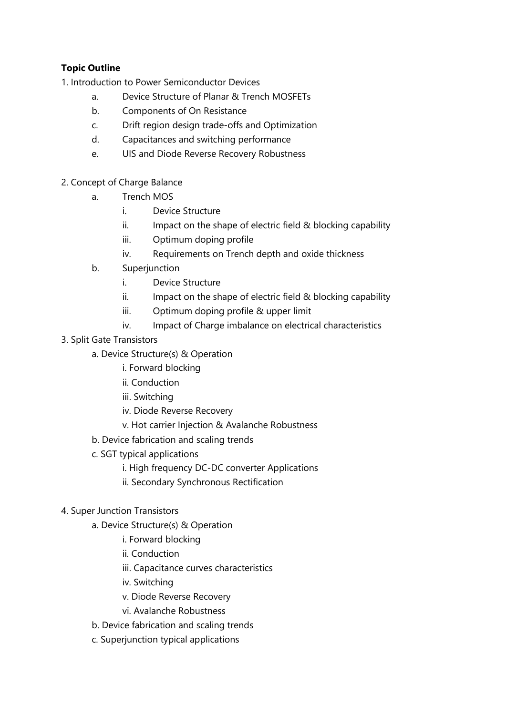## **Topic Outline**

1. Introduction to Power Semiconductor Devices

- a. Device Structure of Planar & Trench MOSFETs
- b. Components of On Resistance
- c. Drift region design trade-offs and Optimization
- d. Capacitances and switching performance
- e. UIS and Diode Reverse Recovery Robustness
- 2. Concept of Charge Balance
	- a. Trench MOS
		- i. Device Structure
		- ii. Impact on the shape of electric field & blocking capability
		- iii. Optimum doping profile
		- iv. Requirements on Trench depth and oxide thickness
	- b. Superjunction
		- i. Device Structure
		- ii. Impact on the shape of electric field & blocking capability
		- iii. Optimum doping profile & upper limit
		- iv. Impact of Charge imbalance on electrical characteristics
- 3. Split Gate Transistors
	- a. Device Structure(s) & Operation
		- i. Forward blocking
			- ii. Conduction
			- iii. Switching
			- iv. Diode Reverse Recovery
			- v. Hot carrier Injection & Avalanche Robustness
	- b. Device fabrication and scaling trends
	- c. SGT typical applications
		- i. High frequency DC-DC converter Applications
		- ii. Secondary Synchronous Rectification
- 4. Super Junction Transistors
	- a. Device Structure(s) & Operation
		- i. Forward blocking
		- ii. Conduction
		- iii. Capacitance curves characteristics
		- iv. Switching
		- v. Diode Reverse Recovery
		- vi. Avalanche Robustness
	- b. Device fabrication and scaling trends
	- c. Superjunction typical applications